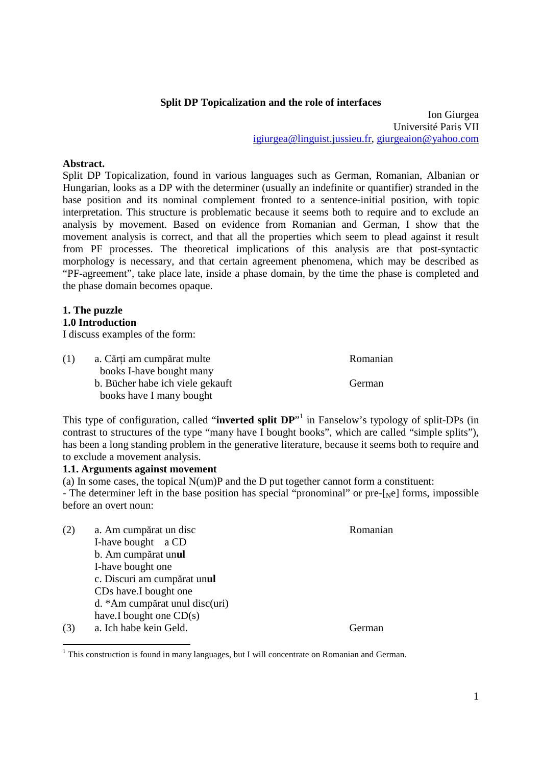# **Split DP Topicalization and the role of interfaces**

Ion Giurgea Université Paris VII igiurgea@linguist.jussieu.fr, giurgeaion@yahoo.com

## **Abstract.**

Split DP Topicalization, found in various languages such as German, Romanian, Albanian or Hungarian, looks as a DP with the determiner (usually an indefinite or quantifier) stranded in the base position and its nominal complement fronted to a sentence-initial position, with topic interpretation. This structure is problematic because it seems both to require and to exclude an analysis by movement. Based on evidence from Romanian and German, I show that the movement analysis is correct, and that all the properties which seem to plead against it result from PF processes. The theoretical implications of this analysis are that post-syntactic morphology is necessary, and that certain agreement phenomena, which may be described as "PF-agreement", take place late, inside a phase domain, by the time the phase is completed and the phase domain becomes opaque.

## **1. The puzzle**

## **1.0 Introduction**

I discuss examples of the form:

| (1) | a. Cărți am cumpărat multe       | Romanian |
|-----|----------------------------------|----------|
|     | books I-have bought many         |          |
|     | b. Bücher habe ich viele gekauft | German   |
|     | books have I many bought         |          |

This type of configuration, called "**inverted split DP**"<sup>1</sup> in Fanselow's typology of split-DPs (in contrast to structures of the type "many have I bought books", which are called "simple splits"), has been a long standing problem in the generative literature, because it seems both to require and to exclude a movement analysis.

### **1.1. Arguments against movement**

(a) In some cases, the topical N(um)P and the D put together cannot form a constituent: - The determiner left in the base position has special "pronominal" or pre- $[\text{Ne}]$  forms, impossible before an overt noun:

- (2) a. Am cumpărat un disc Romanian I-have bought a CD b. Am cumpărat un**ul**  I-have bought one c. Discuri am cumpărat un**ul**  CDs have.I bought one d. \*Am cumpărat unul disc(uri) have.I bought one CD(s)
- (3) a. Ich habe kein Geld. German

 $\overline{a}$ 

 $<sup>1</sup>$  This construction is found in many languages, but I will concentrate on Romanian and German.</sup>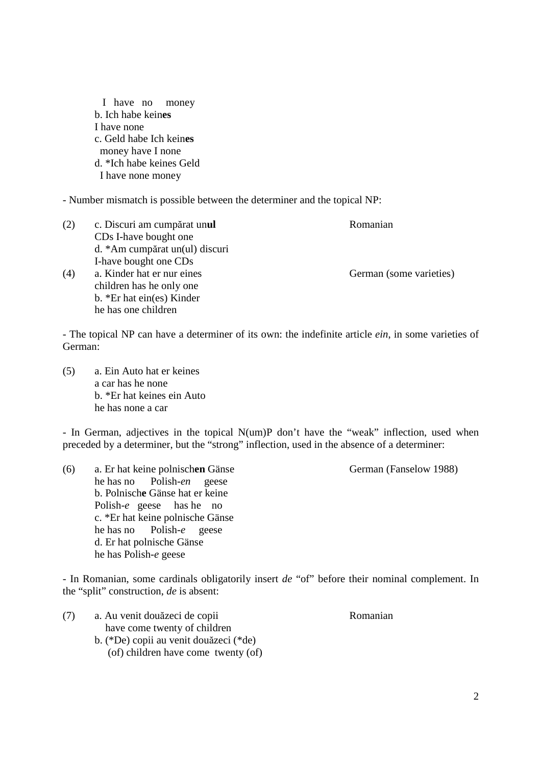I have no money b. Ich habe kein**es** I have none c. Geld habe Ich kein**es**  money have I none d. \*Ich habe keines Geld I have none money

- Number mismatch is possible between the determiner and the topical NP:

(2) c. Discuri am cumpărat un**ul** Romanian CDs I-have bought one d. \*Am cumpărat un(ul) discuri I-have bought one CDs (4) a. Kinder hat er nur eines German (some varieties) children has he only one b. \*Er hat ein(es) Kinder he has one children

- The topical NP can have a determiner of its own: the indefinite article *ein*, in some varieties of German:

(5) a. Ein Auto hat er keines a car has he none b. \*Er hat keines ein Auto he has none a car

- In German, adjectives in the topical N(um)P don't have the "weak" inflection, used when preceded by a determiner, but the "strong" inflection, used in the absence of a determiner:

(6) a. Er hat keine polnischen Gänse German (Fanselow 1988) he has no Polish-*en* geese b. Polnisch**e** Gänse hat er keine Polish-*e* geese has he no c. \*Er hat keine polnische Gänse he has no Polish-*e* geese d. Er hat polnische Gänse he has Polish-*e* geese

- In Romanian, some cardinals obligatorily insert *de* "of" before their nominal complement. In the "split" construction, *de* is absent:

(7) a. Au venit douăzeci de copii Romanian have come twenty of children b. (\*De) copii au venit douăzeci (\*de) (of) children have come twenty (of)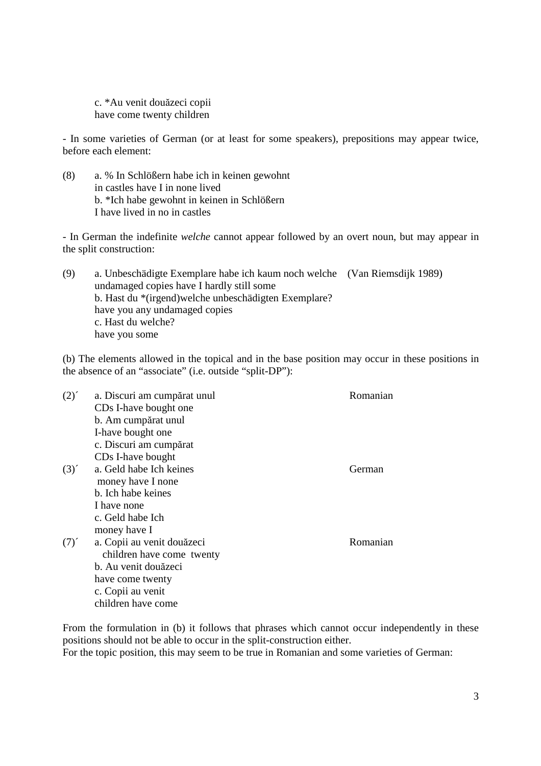c. \*Au venit douăzeci copii have come twenty children

- In some varieties of German (or at least for some speakers), prepositions may appear twice, before each element:

(8) a. % In Schlößern habe ich in keinen gewohnt in castles have I in none lived b. \*Ich habe gewohnt in keinen in Schlößern I have lived in no in castles

- In German the indefinite *welche* cannot appear followed by an overt noun, but may appear in the split construction:

(9) a. Unbeschädigte Exemplare habe ich kaum noch welche (Van Riemsdijk 1989) undamaged copies have I hardly still some b. Hast du \*(irgend)welche unbeschädigten Exemplare? have you any undamaged copies c. Hast du welche? have you some

(b) The elements allowed in the topical and in the base position may occur in these positions in the absence of an "associate" (i.e. outside "split-DP"):

| $(2)^{2}$ | a. Discuri am cumpărat unul       | Romanian |
|-----------|-----------------------------------|----------|
|           | CD <sub>s</sub> I-have bought one |          |
|           | b. Am cumpărat unul               |          |
|           | I-have bought one                 |          |
|           | c. Discuri am cumpărat            |          |
|           | CDs I-have bought                 |          |
| (3)       | a. Geld habe Ich keines           | German   |
|           | money have I none                 |          |
|           | b. Ich habe keines                |          |
|           | I have none                       |          |
|           | c. Geld habe Ich                  |          |
|           | money have I                      |          |
| $(7)^{2}$ | a. Copii au venit douăzeci        | Romanian |
|           | children have come twenty         |          |
|           | b. Au venit douăzeci              |          |
|           | have come twenty                  |          |
|           | c. Copii au venit                 |          |
|           | children have come                |          |

From the formulation in (b) it follows that phrases which cannot occur independently in these positions should not be able to occur in the split-construction either. For the topic position, this may seem to be true in Romanian and some varieties of German: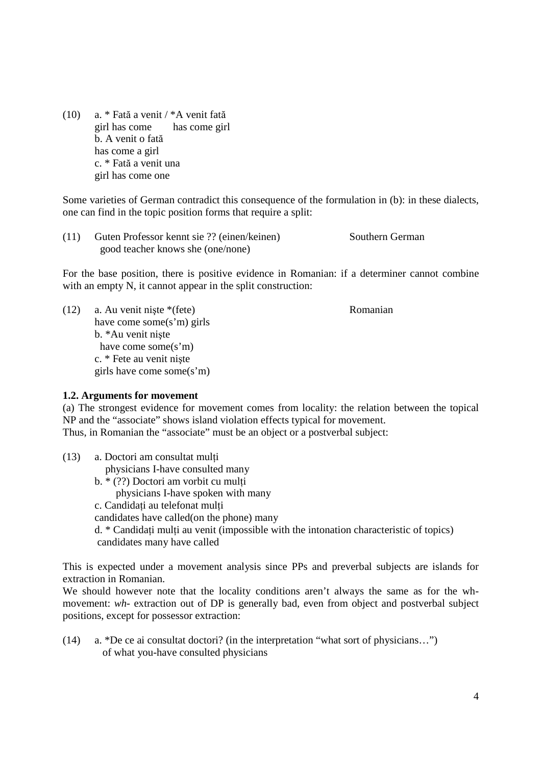(10) a. \* Fată a venit / \*A venit fată girl has come has come girl b. A venit o fată has come a girl c. \* Fată a venit una girl has come one

Some varieties of German contradict this consequence of the formulation in (b): in these dialects, one can find in the topic position forms that require a split:

(11) Guten Professor kennt sie ?? (einen/keinen) Southern German good teacher knows she (one/none)

For the base position, there is positive evidence in Romanian: if a determiner cannot combine with an empty N, it cannot appear in the split construction:

(12) a. Au venit nişte \*(fete) Romanian have come some(s'm) girls b. \*Au venit nişte have come some(s'm) c. \* Fete au venit nişte girls have come some(s'm)

### **1.2. Arguments for movement**

(a) The strongest evidence for movement comes from locality: the relation between the topical NP and the "associate" shows island violation effects typical for movement. Thus, in Romanian the "associate" must be an object or a postverbal subject:

 $(13)$  a. Doctori am consultat multi physicians I-have consulted many b. \* (??) Doctori am vorbit cu mulți physicians I-have spoken with many c. Candidati au telefonat multi candidates have called(on the phone) many  $d. *$  Candidați mulți au venit (impossible with the intonation characteristic of topics) candidates many have called

This is expected under a movement analysis since PPs and preverbal subjects are islands for extraction in Romanian.

We should however note that the locality conditions aren't always the same as for the whmovement: *wh-* extraction out of DP is generally bad, even from object and postverbal subject positions, except for possessor extraction:

(14) a. \*De ce ai consultat doctori? (in the interpretation "what sort of physicians…") of what you-have consulted physicians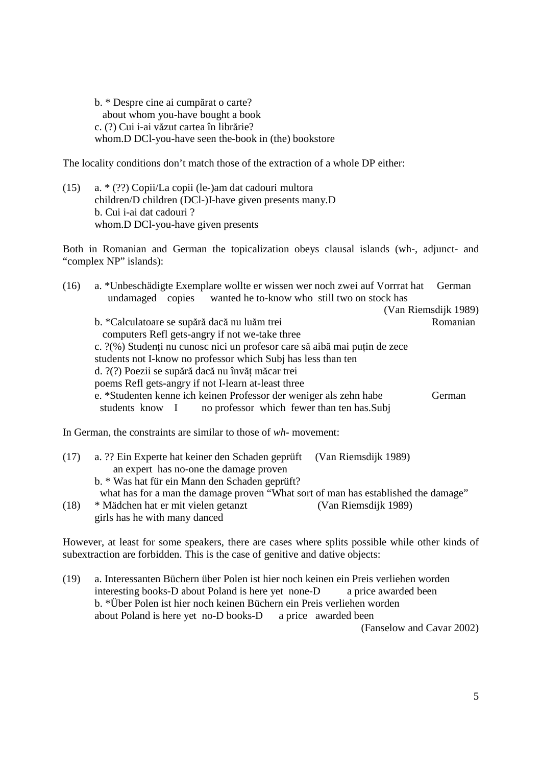b. \* Despre cine ai cumpărat o carte? about whom you-have bought a book c. (?) Cui i-ai văzut cartea în librărie? whom.D DCl-you-have seen the-book in (the) bookstore

The locality conditions don't match those of the extraction of a whole DP either:

(15) a. \* (??) Copii/La copii (le-)am dat cadouri multora children/D children (DCl-)I-have given presents many.D b. Cui i-ai dat cadouri ? whom.D DCl-you-have given presents

Both in Romanian and German the topicalization obeys clausal islands (wh-, adjunct- and "complex NP" islands):

| (16) | a. *Unbeschädigte Exemplare wollte er wissen wer noch zwei auf Vorrrat hat                                                          | German               |
|------|-------------------------------------------------------------------------------------------------------------------------------------|----------------------|
|      | copies wanted he to-know who still two on stock has<br>undamaged                                                                    |                      |
|      |                                                                                                                                     | (Van Riemsdijk 1989) |
|      | b. *Calculatoare se supără dacă nu luăm trei                                                                                        | Romanian             |
|      | computers Refl gets-angry if not we-take three                                                                                      |                      |
|      | c. ?(%) Studenți nu cunosc nici un profesor care să aibă mai puțin de zece                                                          |                      |
|      | students not I-know no professor which Subj has less than ten                                                                       |                      |
|      | d. ?(?) Poezii se supără dacă nu învăț măcar trei                                                                                   |                      |
|      | poems Refl gets-angry if not I-learn at-least three                                                                                 |                      |
|      | e. *Studenten kenne ich keinen Professor der weniger als zehn habe<br>no professor which fewer than ten has.Subj<br>students know I | German               |
|      |                                                                                                                                     |                      |

In German, the constraints are similar to those of *wh*- movement:

| (17) | a. ?? Ein Experte hat keiner den Schaden geprüft (Van Riemsdijk 1989)              |                      |
|------|------------------------------------------------------------------------------------|----------------------|
|      | an expert has no-one the damage proven                                             |                      |
|      | b. * Was hat für ein Mann den Schaden geprüft?                                     |                      |
|      | what has for a man the damage proven "What sort of man has established the damage" |                      |
| (18) | * Mädchen hat er mit vielen getanzt                                                | (Van Riemsdijk 1989) |
|      | girls has he with many danced                                                      |                      |

However, at least for some speakers, there are cases where splits possible while other kinds of subextraction are forbidden. This is the case of genitive and dative objects:

(19) a. Interessanten Büchern über Polen ist hier noch keinen ein Preis verliehen worden interesting books-D about Poland is here yet none-D a price awarded been b. \*Über Polen ist hier noch keinen Büchern ein Preis verliehen worden about Poland is here yet no-D books-D a price awarded been

(Fanselow and Cavar 2002)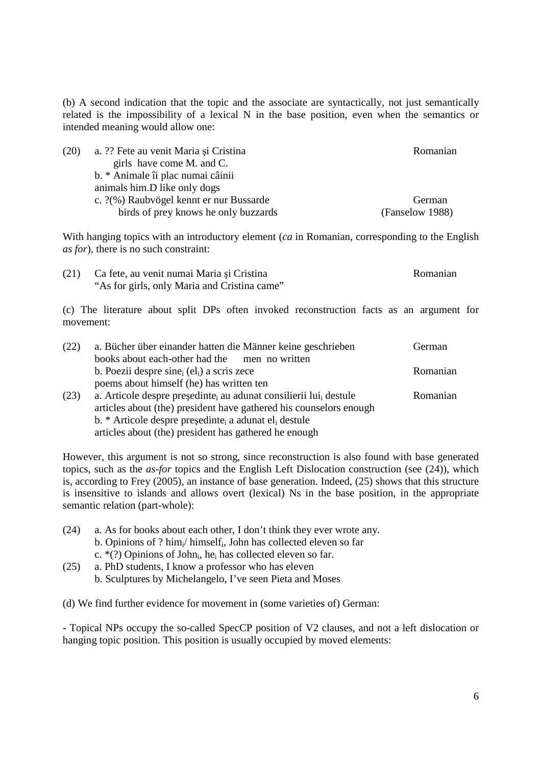(b) A second indication that the topic and the associate are syntactically, not just semantically related is the impossibility of a lexical N in the base position, even when the semantics or intended meaning would allow one:

| (20) | a. ?? Fete au venit Maria și Cristina   | Romanian        |
|------|-----------------------------------------|-----------------|
|      | girls have come M. and C.               |                 |
|      | b. * Animale îi plac numai câinii       |                 |
|      | animals him. D like only dogs           |                 |
|      | c. ?(%) Raubvögel kennt er nur Bussarde | German          |
|      | birds of prey knows he only buzzards    | (Fanselow 1988) |

With hanging topics with an introductory element (*ca* in Romanian, corresponding to the English *as for*), there is no such constraint:

| (21) | Ca fete, au venit numai Maria și Cristina    | Romanian |
|------|----------------------------------------------|----------|
|      | "As for girls, only Maria and Cristina came" |          |

(c) The literature about split DPs often invoked reconstruction facts as an argument for movement:

| (22) | a. Bücher über einander hatten die Männer keine geschrieben                               | German   |
|------|-------------------------------------------------------------------------------------------|----------|
|      | books about each-other had the men no written                                             |          |
|      | b. Poezii despre sine $_{i}$ (el <sub>i</sub> ) a scris zece                              | Romanian |
|      | poems about himself (he) has written ten                                                  |          |
| (23) | a. Articole despre președinte <sub>i</sub> au adunat consilierii lui <sub>i</sub> destule | Romanian |
|      | articles about (the) president have gathered his counselors enough                        |          |
|      | b. * Articole despre președinte a adunat el destule                                       |          |
|      | articles about (the) president has gathered he enough                                     |          |

However, this argument is not so strong, since reconstruction is also found with base generated topics, such as the *as-for* topics and the English Left Dislocation construction (see (24)), which is, according to Frey (2005), an instance of base generation. Indeed, (25) shows that this structure is insensitive to islands and allows overt (lexical) Ns in the base position, in the appropriate semantic relation (part-whole):

- (24) a. As for books about each other, I don't think they ever wrote any. b. Opinions of ? him<sub>i</sub>/ himself<sub>i</sub>, John has collected eleven so far c.  $*(?)$  Opinions of John<sub>i</sub>, he<sub>i</sub> has collected eleven so far.
- (25) a. PhD students, I know a professor who has eleven b. Sculptures by Michelangelo, I've seen Pieta and Moses

(d) We find further evidence for movement in (some varieties of) German:

- Topical NPs occupy the so-called SpecCP position of V2 clauses, and not a left dislocation or hanging topic position. This position is usually occupied by moved elements: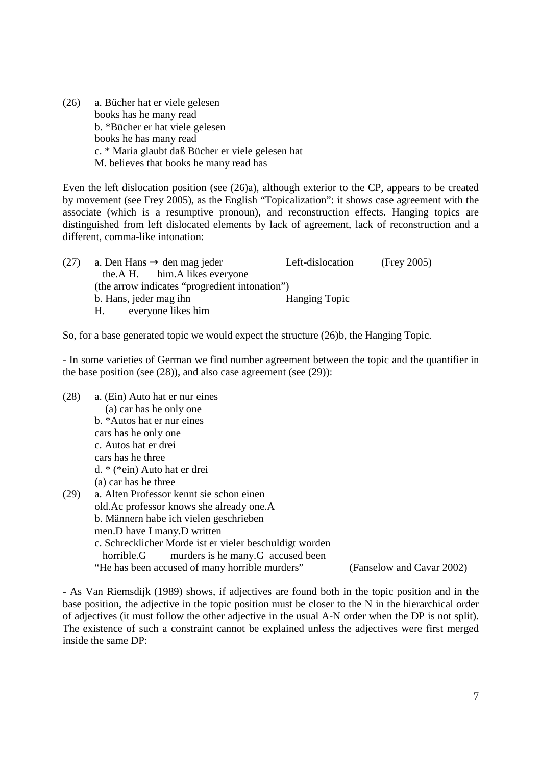(26) a. Bücher hat er viele gelesen books has he many read b. \*Bücher er hat viele gelesen books he has many read c. \* Maria glaubt daß Bücher er viele gelesen hat M. believes that books he many read has

Even the left dislocation position (see (26)a), although exterior to the CP, appears to be created by movement (see Frey 2005), as the English "Topicalization": it shows case agreement with the associate (which is a resumptive pronoun), and reconstruction effects. Hanging topics are distinguished from left dislocated elements by lack of agreement, lack of reconstruction and a different, comma-like intonation:

| (27) | a. Den Hans $\rightarrow$ den mag jeder        | Left-dislocation     | (Frey 2005) |
|------|------------------------------------------------|----------------------|-------------|
|      | the A H. him. A likes everyone                 |                      |             |
|      | (the arrow indicates "progredient intonation") |                      |             |
|      | b. Hans, jeder mag ihn                         | <b>Hanging Topic</b> |             |
|      | everyone likes him<br>H.                       |                      |             |

So, for a base generated topic we would expect the structure (26)b, the Hanging Topic.

- In some varieties of German we find number agreement between the topic and the quantifier in the base position (see (28)), and also case agreement (see (29)):

(28) a. (Ein) Auto hat er nur eines (a) car has he only one b. \*Autos hat er nur eines cars has he only one c. Autos hat er drei cars has he three d. \* (\*ein) Auto hat er drei (a) car has he three (29) a. Alten Professor kennt sie schon einen old.Ac professor knows she already one.A b. Männern habe ich vielen geschrieben men.D have I many.D written c. Schrecklicher Morde ist er vieler beschuldigt worden horrible.G murders is he many.G accused been "He has been accused of many horrible murders" (Fanselow and Cavar 2002)

- As Van Riemsdijk (1989) shows, if adjectives are found both in the topic position and in the base position, the adjective in the topic position must be closer to the N in the hierarchical order of adjectives (it must follow the other adjective in the usual A-N order when the DP is not split). The existence of such a constraint cannot be explained unless the adjectives were first merged inside the same DP: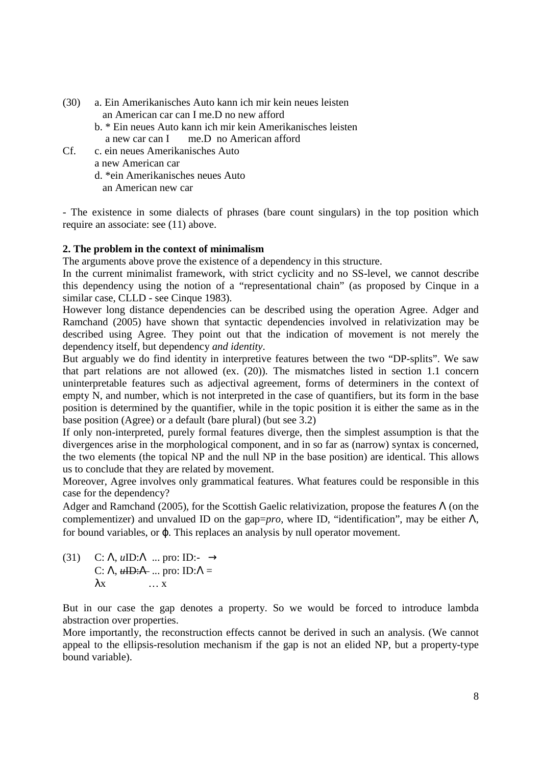- (30) a. Ein Amerikanisches Auto kann ich mir kein neues leisten an American car can I me.D no new afford
	- b. \* Ein neues Auto kann ich mir kein Amerikanisches leisten a new car can I me.D no American afford
- Cf. c. ein neues Amerikanisches Auto a new American car d. \*ein Amerikanisches neues Auto

an American new car

- The existence in some dialects of phrases (bare count singulars) in the top position which require an associate: see (11) above.

# **2. The problem in the context of minimalism**

The arguments above prove the existence of a dependency in this structure.

In the current minimalist framework, with strict cyclicity and no SS-level, we cannot describe this dependency using the notion of a "representational chain" (as proposed by Cinque in a similar case, CLLD - see Cinque 1983).

However long distance dependencies can be described using the operation Agree. Adger and Ramchand (2005) have shown that syntactic dependencies involved in relativization may be described using Agree. They point out that the indication of movement is not merely the dependency itself, but dependency *and identity*.

But arguably we do find identity in interpretive features between the two "DP-splits". We saw that part relations are not allowed (ex. (20)). The mismatches listed in section 1.1 concern uninterpretable features such as adjectival agreement, forms of determiners in the context of empty N, and number, which is not interpreted in the case of quantifiers, but its form in the base position is determined by the quantifier, while in the topic position it is either the same as in the base position (Agree) or a default (bare plural) (but see 3.2)

If only non-interpreted, purely formal features diverge, then the simplest assumption is that the divergences arise in the morphological component, and in so far as (narrow) syntax is concerned, the two elements (the topical NP and the null NP in the base position) are identical. This allows us to conclude that they are related by movement.

Moreover, Agree involves only grammatical features. What features could be responsible in this case for the dependency?

Adger and Ramchand (2005), for the Scottish Gaelic relativization, propose the features  $\Lambda$  (on the complementizer) and unvalued ID on the gap= $pro$ , where ID, "identification", may be either  $\Lambda$ , for bound variables, or ϕ. This replaces an analysis by null operator movement.

(31) C: Λ, *u*ID:Λ ... pro: ID:- → C:  $\Lambda$ ,  $\mu$ **ID:** $\Lambda$  ... pro: **ID:** $\Lambda$  =  $\lambda$ x … x

But in our case the gap denotes a property. So we would be forced to introduce lambda abstraction over properties.

More importantly, the reconstruction effects cannot be derived in such an analysis. (We cannot appeal to the ellipsis-resolution mechanism if the gap is not an elided NP, but a property-type bound variable).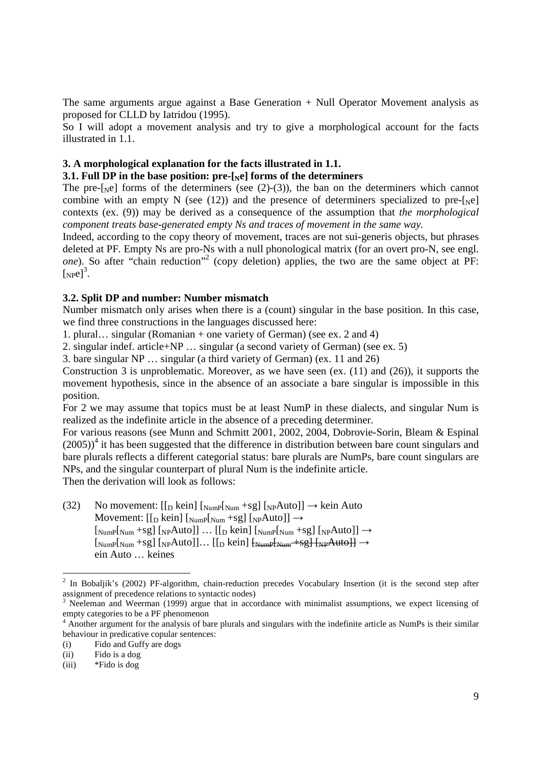The same arguments argue against a Base Generation + Null Operator Movement analysis as proposed for CLLD by Iatridou (1995).

So I will adopt a movement analysis and try to give a morphological account for the facts illustrated in 1.1.

### **3. A morphological explanation for the facts illustrated in 1.1.**

# **3.1. Full DP in the base position: pre-[Ne] forms of the determiners**

The pre- $[\text{Ne}]$  forms of the determiners (see (2)-(3)), the ban on the determiners which cannot combine with an empty N (see (12)) and the presence of determiners specialized to pre-[ $_{\text{N}}$ e] contexts (ex. (9)) may be derived as a consequence of the assumption that *the morphological component treats base-generated empty Ns and traces of movement in the same way.*

Indeed, according to the copy theory of movement, traces are not sui-generis objects, but phrases deleted at PF. Empty Ns are pro-Ns with a null phonological matrix (for an overt pro-N, see engl. one). So after "chain reduction"<sup>2</sup> (copy deletion) applies, the two are the same object at PF:  $[Npe]^3$ .

## **3.2. Split DP and number: Number mismatch**

Number mismatch only arises when there is a (count) singular in the base position. In this case, we find three constructions in the languages discussed here:

1. plural… singular (Romanian + one variety of German) (see ex. 2 and 4)

2. singular indef. article+NP … singular (a second variety of German) (see ex. 5)

3. bare singular NP … singular (a third variety of German) (ex. 11 and 26)

Construction 3 is unproblematic. Moreover, as we have seen (ex. (11) and (26)), it supports the movement hypothesis, since in the absence of an associate a bare singular is impossible in this position.

For 2 we may assume that topics must be at least NumP in these dialects, and singular Num is realized as the indefinite article in the absence of a preceding determiner.

For various reasons (see Munn and Schmitt 2001, 2002, 2004, Dobrovie-Sorin, Bleam & Espinal  $(2005)^{4}$  it has been suggested that the difference in distribution between bare count singulars and bare plurals reflects a different categorial status: bare plurals are NumPs, bare count singulars are NPs, and the singular counterpart of plural Num is the indefinite article.

Then the derivation will look as follows:

(32) No movement:  $[[D \text{ kein}][N_{\text{W}} + Sg][N_{\text{P}}\text{Auto}]] \rightarrow \text{kein Auto}$ Movement:  $[[D \text{ kein}] [NumP[Num +sg] [NpAut] \rightarrow$  $\left[\text{NumP}[\text{Num} + \text{sg}]\left[\text{NP}[\text{Aut}0]\right] \dots \left[\text{In} \text{K}[\text{ein}]\left[\text{Num}[\text{Num} + \text{sg}]\left[\text{NP}[\text{Aut}0]\right] \right] \right] \right]$  [NumP[Num +sg] [NPAuto]]… [[D kein] [NumP[Num +sg] [NPAuto]] → ein Auto … keines

<sup>&</sup>lt;sup>2</sup> In Bobaljik's (2002) PF-algorithm, chain-reduction precedes Vocabulary Insertion (it is the second step after assignment of precedence relations to syntactic nodes)

<sup>3</sup> Neeleman and Weerman (1999) argue that in accordance with minimalist assumptions, we expect licensing of empty categories to be a PF phenomenon

<sup>&</sup>lt;sup>4</sup> Another argument for the analysis of bare plurals and singulars with the indefinite article as NumPs is their similar behaviour in predicative copular sentences:

<sup>(</sup>i) Fido and Guffy are dogs

<sup>(</sup>ii) Fido is a dog

<sup>(</sup>iii) \*Fido is dog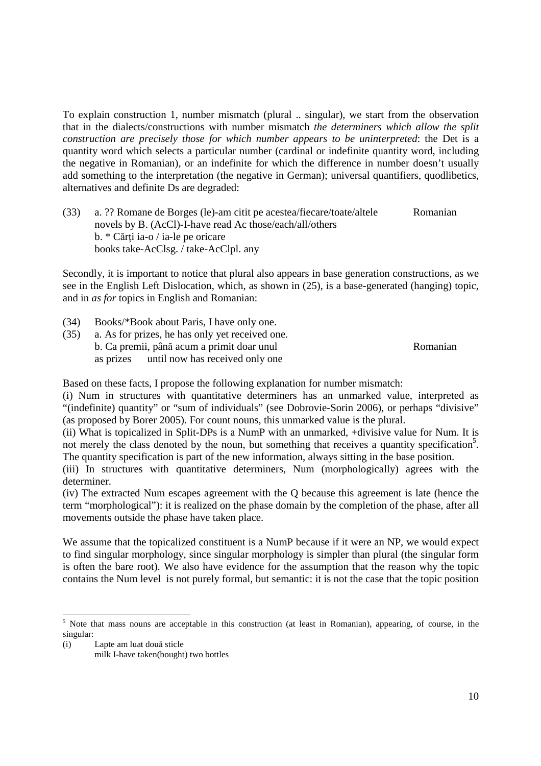To explain construction 1, number mismatch (plural .. singular), we start from the observation that in the dialects/constructions with number mismatch *the determiners which allow the split construction are precisely those for which number appears to be uninterpreted*: the Det is a quantity word which selects a particular number (cardinal or indefinite quantity word, including the negative in Romanian), or an indefinite for which the difference in number doesn't usually add something to the interpretation (the negative in German); universal quantifiers, quodlibetics, alternatives and definite Ds are degraded:

(33) a. ?? Romane de Borges (le)-am citit pe acestea/fiecare/toate/altele Romanian novels by B. (AcCl)-I-have read Ac those/each/all/others  $b. * C$ ărți ia-o / ia-le pe oricare books take-AcClsg. / take-AcClpl. any

Secondly, it is important to notice that plural also appears in base generation constructions, as we see in the English Left Dislocation, which, as shown in (25), is a base-generated (hanging) topic, and in *as for* topics in English and Romanian:

- (34) Books/\*Book about Paris, I have only one.
- (35) a. As for prizes, he has only yet received one. b. Ca premii, până acum a primit doar unul Romanian as prizes until now has received only one

Based on these facts, I propose the following explanation for number mismatch:

(i) Num in structures with quantitative determiners has an unmarked value, interpreted as "(indefinite) quantity" or "sum of individuals" (see Dobrovie-Sorin 2006), or perhaps "divisive" (as proposed by Borer 2005). For count nouns, this unmarked value is the plural.

(ii) What is topicalized in Split-DPs is a NumP with an unmarked, +divisive value for Num. It is not merely the class denoted by the noun, but something that receives a quantity specification<sup>5</sup>. The quantity specification is part of the new information, always sitting in the base position.

(iii) In structures with quantitative determiners, Num (morphologically) agrees with the determiner.

(iv) The extracted Num escapes agreement with the Q because this agreement is late (hence the term "morphological"): it is realized on the phase domain by the completion of the phase, after all movements outside the phase have taken place.

We assume that the topicalized constituent is a NumP because if it were an NP, we would expect to find singular morphology, since singular morphology is simpler than plural (the singular form is often the bare root). We also have evidence for the assumption that the reason why the topic contains the Num level is not purely formal, but semantic: it is not the case that the topic position

(i) Lapte am luat două sticle

 $\overline{a}$ 

<sup>&</sup>lt;sup>5</sup> Note that mass nouns are acceptable in this construction (at least in Romanian), appearing, of course, in the singular:

milk I-have taken(bought) two bottles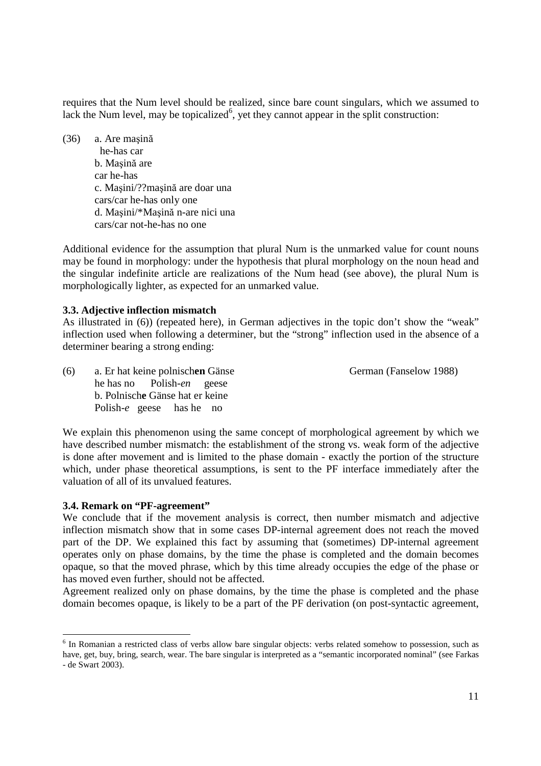requires that the Num level should be realized, since bare count singulars, which we assumed to lack the Num level, may be topicalized<sup>6</sup>, yet they cannot appear in the split construction:

(36) a. Are maşină he-has car b. Maşină are car he-has c. Maşini/??maşină are doar una cars/car he-has only one d. Maşini/\*Maşină n-are nici una cars/car not-he-has no one

Additional evidence for the assumption that plural Num is the unmarked value for count nouns may be found in morphology: under the hypothesis that plural morphology on the noun head and the singular indefinite article are realizations of the Num head (see above), the plural Num is morphologically lighter, as expected for an unmarked value.

# **3.3. Adjective inflection mismatch**

As illustrated in (6)) (repeated here), in German adjectives in the topic don't show the "weak" inflection used when following a determiner, but the "strong" inflection used in the absence of a determiner bearing a strong ending:

(6) a. Er hat keine polnischen Gänse German (Fanselow 1988) he has no Polish-*en* geese b. Polnisch**e** Gänse hat er keine Polish-*e* geese has he no

We explain this phenomenon using the same concept of morphological agreement by which we have described number mismatch: the establishment of the strong vs. weak form of the adjective is done after movement and is limited to the phase domain - exactly the portion of the structure which, under phase theoretical assumptions, is sent to the PF interface immediately after the valuation of all of its unvalued features.

### **3.4. Remark on "PF-agreement"**

 $\overline{a}$ 

We conclude that if the movement analysis is correct, then number mismatch and adjective inflection mismatch show that in some cases DP-internal agreement does not reach the moved part of the DP. We explained this fact by assuming that (sometimes) DP-internal agreement operates only on phase domains, by the time the phase is completed and the domain becomes opaque, so that the moved phrase, which by this time already occupies the edge of the phase or has moved even further, should not be affected.

Agreement realized only on phase domains, by the time the phase is completed and the phase domain becomes opaque, is likely to be a part of the PF derivation (on post-syntactic agreement,

<sup>&</sup>lt;sup>6</sup> In Romanian a restricted class of verbs allow bare singular objects: verbs related somehow to possession, such as have, get, buy, bring, search, wear. The bare singular is interpreted as a "semantic incorporated nominal" (see Farkas - de Swart 2003).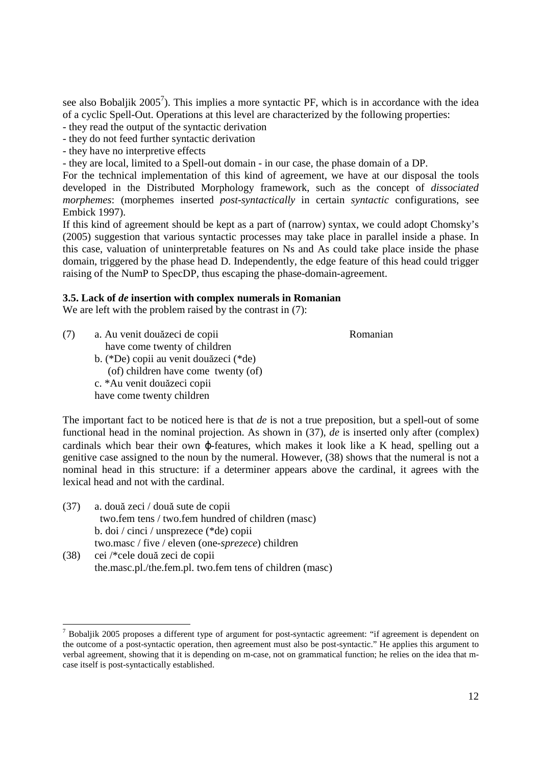see also Bobaljik 2005<sup>7</sup>). This implies a more syntactic PF, which is in accordance with the idea of a cyclic Spell-Out. Operations at this level are characterized by the following properties:

- they read the output of the syntactic derivation

- they do not feed further syntactic derivation

- they have no interpretive effects

- they are local, limited to a Spell-out domain - in our case, the phase domain of a DP.

For the technical implementation of this kind of agreement, we have at our disposal the tools developed in the Distributed Morphology framework, such as the concept of *dissociated morphemes*: (morphemes inserted *post-syntactically* in certain *syntactic* configurations, see Embick 1997).

If this kind of agreement should be kept as a part of (narrow) syntax, we could adopt Chomsky's (2005) suggestion that various syntactic processes may take place in parallel inside a phase. In this case, valuation of uninterpretable features on Ns and As could take place inside the phase domain, triggered by the phase head D. Independently, the edge feature of this head could trigger raising of the NumP to SpecDP, thus escaping the phase-domain-agreement.

# **3.5. Lack of** *de* **insertion with complex numerals in Romanian**

We are left with the problem raised by the contrast in  $(7)$ :

(7) a. Au venit douăzeci de copii Romanian have come twenty of children

 $\overline{a}$ 

 b. (\*De) copii au venit douăzeci (\*de) (of) children have come twenty (of) c. \*Au venit douăzeci copii have come twenty children

The important fact to be noticed here is that *de* is not a true preposition, but a spell-out of some functional head in the nominal projection. As shown in (37), *de* is inserted only after (complex) cardinals which bear their own ϕ-features, which makes it look like a K head, spelling out a genitive case assigned to the noun by the numeral. However, (38) shows that the numeral is not a nominal head in this structure: if a determiner appears above the cardinal, it agrees with the lexical head and not with the cardinal.

- (37) a. două zeci / două sute de copii two.fem tens / two.fem hundred of children (masc) b. doi / cinci / unsprezece (\*de) copii two.masc / five / eleven (one-*sprezece*) children (38) cei /\*cele două zeci de copii
- the.masc.pl./the.fem.pl. two.fem tens of children (masc)

<sup>&</sup>lt;sup>7</sup> Bobaljik 2005 proposes a different type of argument for post-syntactic agreement: "if agreement is dependent on the outcome of a post-syntactic operation, then agreement must also be post-syntactic." He applies this argument to verbal agreement, showing that it is depending on m-case, not on grammatical function; he relies on the idea that mcase itself is post-syntactically established.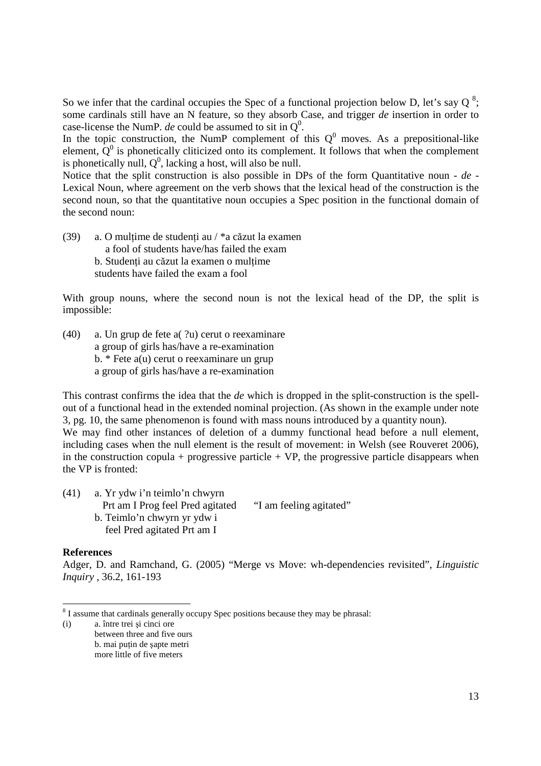So we infer that the cardinal occupies the Spec of a functional projection below D, let's say Q<sup>8</sup>; some cardinals still have an N feature, so they absorb Case, and trigger *de* insertion in order to case-license the NumP. *de* could be assumed to sit in  $Q^0$ .

In the topic construction, the NumP complement of this  $Q^0$  moves. As a prepositional-like element,  $\dot{Q}^0$  is phonetically cliticized onto its complement. It follows that when the complement is phonetically null,  $Q^0$ , lacking a host, will also be null.

Notice that the split construction is also possible in DPs of the form Quantitative noun - *de -*  Lexical Noun, where agreement on the verb shows that the lexical head of the construction is the second noun, so that the quantitative noun occupies a Spec position in the functional domain of the second noun:

(39) a. O multime de studenti au /  $*$ a căzut la examen a fool of students have/has failed the exam b. Studenti au căzut la examen o multime students have failed the exam a fool

With group nouns, where the second noun is not the lexical head of the DP, the split is impossible:

(40) a. Un grup de fete a( ?u) cerut o reexaminare a group of girls has/have a re-examination b. \* Fete a(u) cerut o reexaminare un grup a group of girls has/have a re-examination

This contrast confirms the idea that the *de* which is dropped in the split-construction is the spellout of a functional head in the extended nominal projection. (As shown in the example under note 3, pg. 10, the same phenomenon is found with mass nouns introduced by a quantity noun). We may find other instances of deletion of a dummy functional head before a null element, including cases when the null element is the result of movement: in Welsh (see Rouveret 2006), in the construction copula + progressive particle +  $VP$ , the progressive particle disappears when the VP is fronted:

| (41) | a. Yr ydw i'n teimlo'n chwyrn    |                         |
|------|----------------------------------|-------------------------|
|      | Prt am I Prog feel Pred agitated | "I am feeling agitated" |
|      | b. Teimlo'n chwyrn yr ydw i      |                         |
|      | feel Pred agitated Prt am I      |                         |

### **References**

Adger, D. and Ramchand, G. (2005) "Merge vs Move: wh-dependencies revisited", *Linguistic Inquiry* , 36.2, 161-193

  $8<sup>8</sup>$  I assume that cardinals generally occupy Spec positions because they may be phrasal:

<sup>(</sup>i) a. între trei şi cinci ore between three and five ours b. mai putin de sapte metri more little of five meters